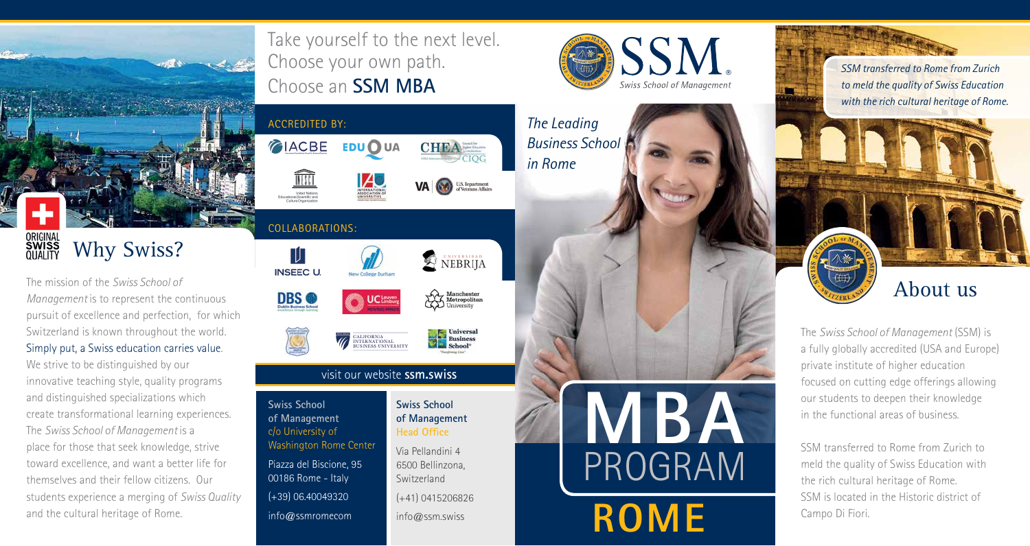

The mission of the *Swiss School of Management* is to represent the continuous pursuit of excellence and perfection, for which Switzerland is known throughout the world. Simply put, a Swiss education carries value.

We strive to be distinguished by our innovative teaching style, quality programs and distinguished specializations which create transformational learning experiences. The *Swiss School of Management* is a place for those that seek knowledge, strive toward excellence, and want a better life for themselves and their fellow citizens. Our students experience a merging of *Swiss Quality* and the cultural heritage of Rome.

United Nations<br>Educational, Scientific and<br>Cultural Organization COLLABORATIONS: 吅 **INSEEC U.** New College Durha **DBS** 



#### visit our website **ssm.swiss**

**Swiss School of Management** c/o University of Washington Rome Center Piazza del Biscione, 95 00186 Rome - Italy (+39) 06.40049320 info@ssmromecom

**SSM Swiss School of Management** 

**MBA**

PROGRAM

**ROME**





Take yourself to the next level.

Choose your own path.

Choose an **SSM MBA**

**EDU OUA** 

ACCREDITED BY:

CIACBE





**Swiss School of Management Head Office**

Via Pellandini 4 6500 Bellinzona, Switzerland

(+41) 0415206826

info@ssm.swiss



*SSM transferred to Rome from Zurich to meld the quality of Swiss Education with the rich cultural heritage of Rome.* 



The *Swiss School of Management* (SSM) is a fully globally accredited (USA and Europe) private institute of higher education focused on cutting edge offerings allowing our students to deepen their knowledge in the functional areas of business.

SSM transferred to Rome from Zurich to meld the quality of Swiss Education with the rich cultural heritage of Rome. SSM is located in the Historic district of Campo Di Fiori.